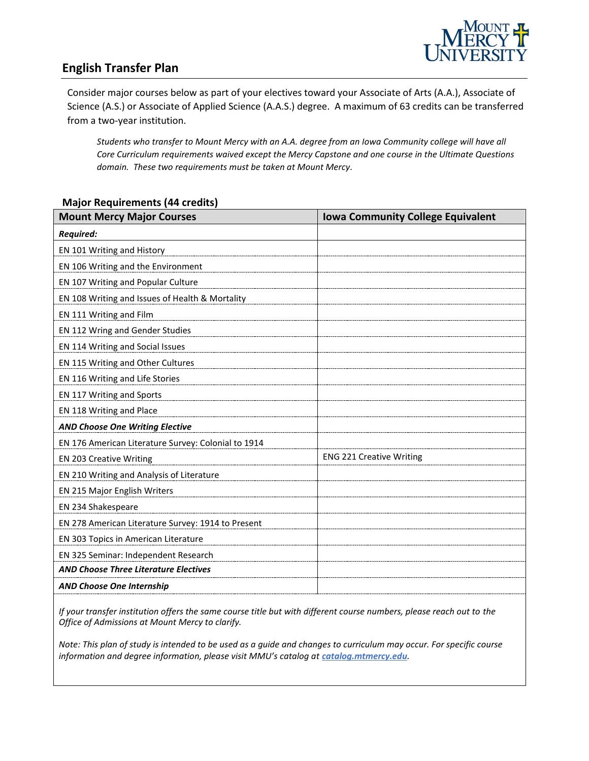

# **English Transfer Plan**

Consider major courses below as part of your electives toward your Associate of Arts (A.A.), Associate of Science (A.S.) or Associate of Applied Science (A.A.S.) degree. A maximum of 63 credits can be transferred from a two-year institution.

*Students who transfer to Mount Mercy with an A.A. degree from an Iowa Community college will have all Core Curriculum requirements waived except the Mercy Capstone and one course in the Ultimate Questions domain. These two requirements must be taken at Mount Mercy.*

#### **Major Requirements (44 credits)**

| <b>Mount Mercy Major Courses</b>                    | <b>Iowa Community College Equivalent</b> |
|-----------------------------------------------------|------------------------------------------|
| Required:                                           |                                          |
| EN 101 Writing and History                          |                                          |
| EN 106 Writing and the Environment                  |                                          |
| EN 107 Writing and Popular Culture                  |                                          |
| EN 108 Writing and Issues of Health & Mortality     |                                          |
| EN 111 Writing and Film                             |                                          |
| EN 112 Wring and Gender Studies                     |                                          |
| EN 114 Writing and Social Issues                    |                                          |
| EN 115 Writing and Other Cultures                   |                                          |
| EN 116 Writing and Life Stories                     |                                          |
| EN 117 Writing and Sports                           |                                          |
| EN 118 Writing and Place                            |                                          |
| <b>AND Choose One Writing Elective</b>              |                                          |
| EN 176 American Literature Survey: Colonial to 1914 |                                          |
| EN 203 Creative Writing                             | <b>ENG 221 Creative Writing</b>          |
| EN 210 Writing and Analysis of Literature           |                                          |
| EN 215 Major English Writers                        |                                          |
| EN 234 Shakespeare                                  |                                          |
| EN 278 American Literature Survey: 1914 to Present  |                                          |
| EN 303 Topics in American Literature                |                                          |
| EN 325 Seminar: Independent Research                |                                          |
| <b>AND Choose Three Literature Electives</b>        |                                          |
| <b>AND Choose One Internship</b>                    |                                          |

*If your transfer institution offers the same course title but with different course numbers, please reach out to the Office of Admissions at Mount Mercy to clarify.*

*Note: This plan of study is intended to be used as a guide and changes to curriculum may occur. For specific course*  information and degree information, please visit MMU's catalog at **catalog.mtmercy.edu**.